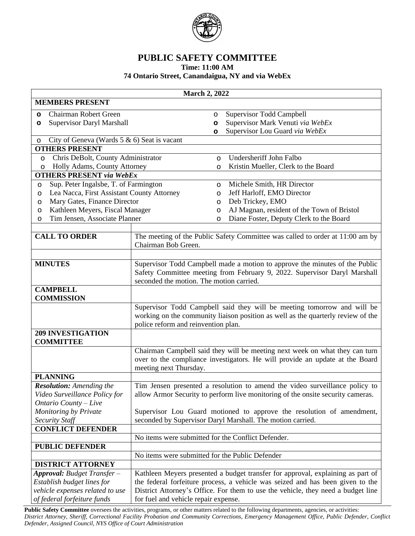

## **PUBLIC SAFETY COMMITTEE**

**Time: 11:00 AM**

## **74 Ontario Street, Canandaigua, NY and via WebEx**

| <b>March 2, 2022</b>                                                                                                               |                                                                                                                                                                                                                                                                                               |                                                                       |                                                                                                                                                             |  |  |
|------------------------------------------------------------------------------------------------------------------------------------|-----------------------------------------------------------------------------------------------------------------------------------------------------------------------------------------------------------------------------------------------------------------------------------------------|-----------------------------------------------------------------------|-------------------------------------------------------------------------------------------------------------------------------------------------------------|--|--|
| <b>MEMBERS PRESENT</b>                                                                                                             |                                                                                                                                                                                                                                                                                               |                                                                       |                                                                                                                                                             |  |  |
| Chairman Robert Green<br>$\circ$                                                                                                   |                                                                                                                                                                                                                                                                                               | O                                                                     | Supervisor Todd Campbell                                                                                                                                    |  |  |
| <b>Supervisor Daryl Marshall</b><br>$\circ$                                                                                        |                                                                                                                                                                                                                                                                                               | O                                                                     | Supervisor Mark Venuti via WebEx                                                                                                                            |  |  |
|                                                                                                                                    |                                                                                                                                                                                                                                                                                               | O                                                                     | Supervisor Lou Guard via WebEx                                                                                                                              |  |  |
| City of Geneva (Wards $5 & 6$ ) Seat is vacant<br>O                                                                                |                                                                                                                                                                                                                                                                                               |                                                                       |                                                                                                                                                             |  |  |
| <b>OTHERS PRESENT</b>                                                                                                              |                                                                                                                                                                                                                                                                                               |                                                                       |                                                                                                                                                             |  |  |
| Chris DeBolt, County Administrator<br>$\circ$                                                                                      |                                                                                                                                                                                                                                                                                               | $\circ$                                                               | Undersheriff John Falbo                                                                                                                                     |  |  |
| Holly Adams, County Attorney<br>$\circ$                                                                                            |                                                                                                                                                                                                                                                                                               | $\circ$                                                               | Kristin Mueller, Clerk to the Board                                                                                                                         |  |  |
| <b>OTHERS PRESENT via WebEx</b>                                                                                                    |                                                                                                                                                                                                                                                                                               |                                                                       |                                                                                                                                                             |  |  |
| Sup. Peter Ingalsbe, T. of Farmington<br>O                                                                                         |                                                                                                                                                                                                                                                                                               | $\circ$                                                               | Michele Smith, HR Director                                                                                                                                  |  |  |
| Lea Nacca, First Assistant County Attorney<br>$\circ$                                                                              |                                                                                                                                                                                                                                                                                               | $\circ$                                                               | Jeff Harloff, EMO Director                                                                                                                                  |  |  |
| Mary Gates, Finance Director<br>$\circ$                                                                                            |                                                                                                                                                                                                                                                                                               | $\circ$                                                               | Deb Trickey, EMO                                                                                                                                            |  |  |
| Kathleen Meyers, Fiscal Manager<br>$\circ$                                                                                         |                                                                                                                                                                                                                                                                                               | $\circ$                                                               | AJ Magnan, resident of the Town of Bristol                                                                                                                  |  |  |
| Tim Jensen, Associate Planner<br>$\circ$                                                                                           |                                                                                                                                                                                                                                                                                               | O                                                                     | Diane Foster, Deputy Clerk to the Board                                                                                                                     |  |  |
| <b>CALL TO ORDER</b>                                                                                                               | Chairman Bob Green.                                                                                                                                                                                                                                                                           |                                                                       | The meeting of the Public Safety Committee was called to order at 11:00 am by                                                                               |  |  |
| <b>MINUTES</b>                                                                                                                     | Supervisor Todd Campbell made a motion to approve the minutes of the Public<br>Safety Committee meeting from February 9, 2022. Supervisor Daryl Marshall<br>seconded the motion. The motion carried.                                                                                          |                                                                       |                                                                                                                                                             |  |  |
| <b>CAMPBELL</b><br><b>COMMISSION</b>                                                                                               |                                                                                                                                                                                                                                                                                               |                                                                       |                                                                                                                                                             |  |  |
|                                                                                                                                    | police reform and reinvention plan.                                                                                                                                                                                                                                                           |                                                                       | Supervisor Todd Campbell said they will be meeting tomorrow and will be<br>working on the community liaison position as well as the quarterly review of the |  |  |
| <b>209 INVESTIGATION</b><br><b>COMMITTEE</b>                                                                                       |                                                                                                                                                                                                                                                                                               |                                                                       |                                                                                                                                                             |  |  |
|                                                                                                                                    | Chairman Campbell said they will be meeting next week on what they can turn<br>over to the compliance investigators. He will provide an update at the Board<br>meeting next Thursday.                                                                                                         |                                                                       |                                                                                                                                                             |  |  |
| <b>PLANNING</b>                                                                                                                    |                                                                                                                                                                                                                                                                                               |                                                                       |                                                                                                                                                             |  |  |
| <b>Resolution:</b> Amending the<br>Video Surveillance Policy for<br>Ontario County - Live                                          | Tim Jensen presented a resolution to amend the video surveillance policy to<br>allow Armor Security to perform live monitoring of the onsite security cameras.                                                                                                                                |                                                                       |                                                                                                                                                             |  |  |
| Monitoring by Private                                                                                                              |                                                                                                                                                                                                                                                                                               | Supervisor Lou Guard motioned to approve the resolution of amendment, |                                                                                                                                                             |  |  |
| <b>Security Staff</b>                                                                                                              |                                                                                                                                                                                                                                                                                               | seconded by Supervisor Daryl Marshall. The motion carried.            |                                                                                                                                                             |  |  |
| <b>CONFLICT DEFENDER</b>                                                                                                           |                                                                                                                                                                                                                                                                                               |                                                                       |                                                                                                                                                             |  |  |
|                                                                                                                                    |                                                                                                                                                                                                                                                                                               |                                                                       | No items were submitted for the Conflict Defender.                                                                                                          |  |  |
| <b>PUBLIC DEFENDER</b>                                                                                                             |                                                                                                                                                                                                                                                                                               |                                                                       |                                                                                                                                                             |  |  |
|                                                                                                                                    | No items were submitted for the Public Defender                                                                                                                                                                                                                                               |                                                                       |                                                                                                                                                             |  |  |
| <b>DISTRICT ATTORNEY</b>                                                                                                           |                                                                                                                                                                                                                                                                                               |                                                                       |                                                                                                                                                             |  |  |
| <b>Approval:</b> Budget Transfer -<br>Establish budget lines for<br>vehicle expenses related to use<br>of federal forfeiture funds | Kathleen Meyers presented a budget transfer for approval, explaining as part of<br>the federal forfeiture process, a vehicle was seized and has been given to the<br>District Attorney's Office. For them to use the vehicle, they need a budget line<br>for fuel and vehicle repair expense. |                                                                       |                                                                                                                                                             |  |  |

Public Safety Committee oversees the activities, programs, or other matters related to the following departments, agencies, or activities: District Attorney, Sheriff, Correctional Facility Probation and Community Corrections, Emergency Management Office, Public Defender, Conflict *Defender, Assigned Council, NYS Office of Court Administration*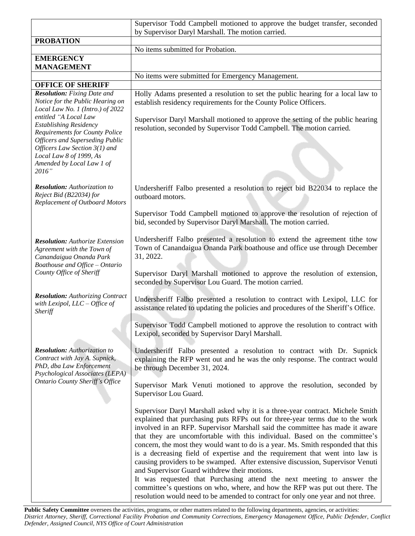|                                                                                                                                                                                                                                                                                                                                                           | Supervisor Todd Campbell motioned to approve the budget transfer, seconded                                                                                                                                                                                                                                                                                                                                                                                                                                                                                                                                                                                                                                                                                                                                                                                                      |  |
|-----------------------------------------------------------------------------------------------------------------------------------------------------------------------------------------------------------------------------------------------------------------------------------------------------------------------------------------------------------|---------------------------------------------------------------------------------------------------------------------------------------------------------------------------------------------------------------------------------------------------------------------------------------------------------------------------------------------------------------------------------------------------------------------------------------------------------------------------------------------------------------------------------------------------------------------------------------------------------------------------------------------------------------------------------------------------------------------------------------------------------------------------------------------------------------------------------------------------------------------------------|--|
|                                                                                                                                                                                                                                                                                                                                                           | by Supervisor Daryl Marshall. The motion carried.                                                                                                                                                                                                                                                                                                                                                                                                                                                                                                                                                                                                                                                                                                                                                                                                                               |  |
| <b>PROBATION</b>                                                                                                                                                                                                                                                                                                                                          |                                                                                                                                                                                                                                                                                                                                                                                                                                                                                                                                                                                                                                                                                                                                                                                                                                                                                 |  |
| <b>EMERGENCY</b>                                                                                                                                                                                                                                                                                                                                          | No items submitted for Probation.                                                                                                                                                                                                                                                                                                                                                                                                                                                                                                                                                                                                                                                                                                                                                                                                                                               |  |
| <b>MANAGEMENT</b>                                                                                                                                                                                                                                                                                                                                         |                                                                                                                                                                                                                                                                                                                                                                                                                                                                                                                                                                                                                                                                                                                                                                                                                                                                                 |  |
|                                                                                                                                                                                                                                                                                                                                                           | No items were submitted for Emergency Management.                                                                                                                                                                                                                                                                                                                                                                                                                                                                                                                                                                                                                                                                                                                                                                                                                               |  |
| <b>OFFICE OF SHERIFF</b>                                                                                                                                                                                                                                                                                                                                  |                                                                                                                                                                                                                                                                                                                                                                                                                                                                                                                                                                                                                                                                                                                                                                                                                                                                                 |  |
| <b>Resolution:</b> Fixing Date and<br>Notice for the Public Hearing on<br>Local Law No. 1 (Intro.) of 2022<br>entitled "A Local Law<br><b>Establishing Residency</b><br><b>Requirements for County Police</b><br><b>Officers and Superseding Public</b><br>Officers Law Section 3(1) and<br>Local Law 8 of 1999, As<br>Amended by Local Law 1 of<br>2016" | Holly Adams presented a resolution to set the public hearing for a local law to<br>establish residency requirements for the County Police Officers.<br>Supervisor Daryl Marshall motioned to approve the setting of the public hearing<br>resolution, seconded by Supervisor Todd Campbell. The motion carried.                                                                                                                                                                                                                                                                                                                                                                                                                                                                                                                                                                 |  |
| <b>Resolution:</b> Authorization to<br>Reject Bid (B22034) for<br>Replacement of Outboard Motors                                                                                                                                                                                                                                                          | Undersheriff Falbo presented a resolution to reject bid B22034 to replace the<br>outboard motors.                                                                                                                                                                                                                                                                                                                                                                                                                                                                                                                                                                                                                                                                                                                                                                               |  |
|                                                                                                                                                                                                                                                                                                                                                           | Supervisor Todd Campbell motioned to approve the resolution of rejection of<br>bid, seconded by Supervisor Daryl Marshall. The motion carried.                                                                                                                                                                                                                                                                                                                                                                                                                                                                                                                                                                                                                                                                                                                                  |  |
| <b>Resolution:</b> Authorize Extension<br>Agreement with the Town of<br>Canandaigua Onanda Park<br>Boathouse and Office - Ontario<br>County Office of Sheriff                                                                                                                                                                                             | Undersheriff Falbo presented a resolution to extend the agreement tithe tow<br>Town of Canandaigua Onanda Park boathouse and office use through December<br>31, 2022.                                                                                                                                                                                                                                                                                                                                                                                                                                                                                                                                                                                                                                                                                                           |  |
|                                                                                                                                                                                                                                                                                                                                                           | Supervisor Daryl Marshall motioned to approve the resolution of extension,<br>seconded by Supervisor Lou Guard. The motion carried.                                                                                                                                                                                                                                                                                                                                                                                                                                                                                                                                                                                                                                                                                                                                             |  |
| <b>Resolution:</b> Authorizing Contract<br>with Lexipol, $LLC-Office$ of<br>Sheriff                                                                                                                                                                                                                                                                       | Undersheriff Falbo presented a resolution to contract with Lexipol, LLC for<br>assistance related to updating the policies and procedures of the Sheriff's Office.                                                                                                                                                                                                                                                                                                                                                                                                                                                                                                                                                                                                                                                                                                              |  |
|                                                                                                                                                                                                                                                                                                                                                           | Supervisor Todd Campbell motioned to approve the resolution to contract with<br>Lexipol, seconded by Supervisor Daryl Marshall.                                                                                                                                                                                                                                                                                                                                                                                                                                                                                                                                                                                                                                                                                                                                                 |  |
| <b>Resolution:</b> Authorization to<br>Contract with Jay A. Supnick,<br>PhD, dba Law Enforcement<br>Psychological Associates (LEPA)<br><b>Ontario County Sheriff's Office</b>                                                                                                                                                                             | Undersheriff Falbo presented a resolution to contract with Dr. Supnick<br>explaining the RFP went out and he was the only response. The contract would<br>be through December 31, 2024.                                                                                                                                                                                                                                                                                                                                                                                                                                                                                                                                                                                                                                                                                         |  |
|                                                                                                                                                                                                                                                                                                                                                           | Supervisor Mark Venuti motioned to approve the resolution, seconded by<br>Supervisor Lou Guard.                                                                                                                                                                                                                                                                                                                                                                                                                                                                                                                                                                                                                                                                                                                                                                                 |  |
|                                                                                                                                                                                                                                                                                                                                                           | Supervisor Daryl Marshall asked why it is a three-year contract. Michele Smith<br>explained that purchasing puts RFPs out for three-year terms due to the work<br>involved in an RFP. Supervisor Marshall said the committee has made it aware<br>that they are uncomfortable with this individual. Based on the committee's<br>concern, the most they would want to do is a year. Ms. Smith responded that this<br>is a decreasing field of expertise and the requirement that went into law is<br>causing providers to be swamped. After extensive discussion, Supervisor Venuti<br>and Supervisor Guard withdrew their motions.<br>It was requested that Purchasing attend the next meeting to answer the<br>committee's questions on who, where, and how the RFP was put out there. The<br>resolution would need to be amended to contract for only one year and not three. |  |